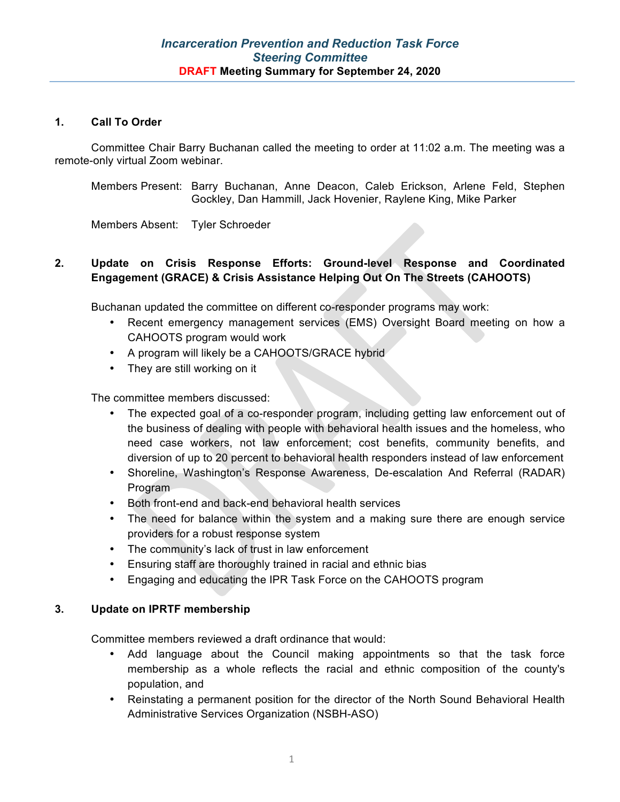## **1. Call To Order**

Committee Chair Barry Buchanan called the meeting to order at 11:02 a.m. The meeting was a remote-only virtual Zoom webinar.

Members Present: Barry Buchanan, Anne Deacon, Caleb Erickson, Arlene Feld, Stephen Gockley, Dan Hammill, Jack Hovenier, Raylene King, Mike Parker

Members Absent: Tyler Schroeder

# **2. Update on Crisis Response Efforts: Ground-level Response and Coordinated Engagement (GRACE) & Crisis Assistance Helping Out On The Streets (CAHOOTS)**

Buchanan updated the committee on different co-responder programs may work:

- Recent emergency management services (EMS) Oversight Board meeting on how a CAHOOTS program would work
- A program will likely be a CAHOOTS/GRACE hybrid
- They are still working on it

The committee members discussed:

- The expected goal of a co-responder program, including getting law enforcement out of the business of dealing with people with behavioral health issues and the homeless, who need case workers, not law enforcement; cost benefits, community benefits, and diversion of up to 20 percent to behavioral health responders instead of law enforcement
- Shoreline, Washington's Response Awareness, De-escalation And Referral (RADAR) Program
- Both front-end and back-end behavioral health services
- The need for balance within the system and a making sure there are enough service providers for a robust response system
- The community's lack of trust in law enforcement
- Ensuring staff are thoroughly trained in racial and ethnic bias
- Engaging and educating the IPR Task Force on the CAHOOTS program

## **3. Update on IPRTF membership**

Committee members reviewed a draft ordinance that would:

- Add language about the Council making appointments so that the task force membership as a whole reflects the racial and ethnic composition of the county's population, and
- Reinstating a permanent position for the director of the North Sound Behavioral Health Administrative Services Organization (NSBH-ASO)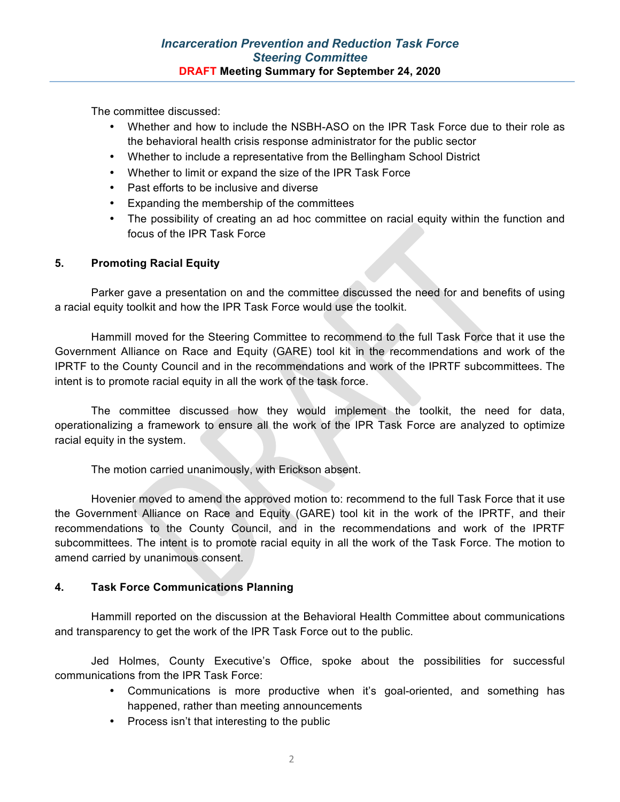The committee discussed:

- Whether and how to include the NSBH-ASO on the IPR Task Force due to their role as the behavioral health crisis response administrator for the public sector
- Whether to include a representative from the Bellingham School District
- Whether to limit or expand the size of the IPR Task Force
- Past efforts to be inclusive and diverse
- Expanding the membership of the committees
- The possibility of creating an ad hoc committee on racial equity within the function and focus of the IPR Task Force

## **5. Promoting Racial Equity**

Parker gave a presentation on and the committee discussed the need for and benefits of using a racial equity toolkit and how the IPR Task Force would use the toolkit.

Hammill moved for the Steering Committee to recommend to the full Task Force that it use the Government Alliance on Race and Equity (GARE) tool kit in the recommendations and work of the IPRTF to the County Council and in the recommendations and work of the IPRTF subcommittees. The intent is to promote racial equity in all the work of the task force.

The committee discussed how they would implement the toolkit, the need for data, operationalizing a framework to ensure all the work of the IPR Task Force are analyzed to optimize racial equity in the system.

The motion carried unanimously, with Erickson absent.

Hovenier moved to amend the approved motion to: recommend to the full Task Force that it use the Government Alliance on Race and Equity (GARE) tool kit in the work of the IPRTF, and their recommendations to the County Council, and in the recommendations and work of the IPRTF subcommittees. The intent is to promote racial equity in all the work of the Task Force. The motion to amend carried by unanimous consent.

## **4. Task Force Communications Planning**

Hammill reported on the discussion at the Behavioral Health Committee about communications and transparency to get the work of the IPR Task Force out to the public.

Jed Holmes, County Executive's Office, spoke about the possibilities for successful communications from the IPR Task Force:

- Communications is more productive when it's goal-oriented, and something has happened, rather than meeting announcements
- Process isn't that interesting to the public